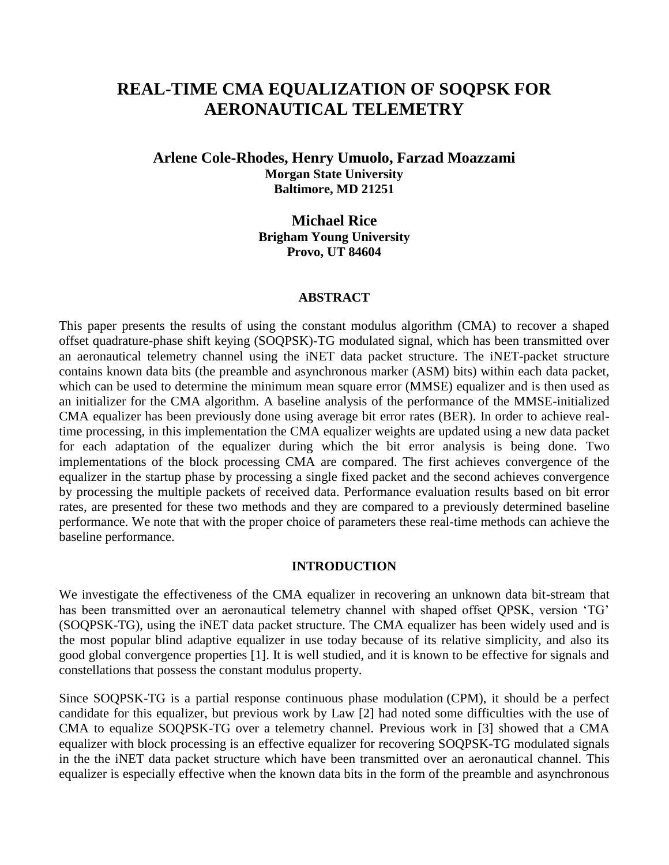# **REAL-TIME CMA EQUALIZATION OF SOQPSK FOR AERONAUTICAL TELEMETRY**

# **Arlene Cole-Rhodes, Henry Umuolo, Farzad Moazzami Morgan State University Baltimore, MD 21251**

**Michael Rice Brigham Young University Provo, UT 84604**

#### **ABSTRACT**

This paper presents the results of using the constant modulus algorithm (CMA) to recover a shaped offset quadrature-phase shift keying (SOQPSK)-TG modulated signal, which has been transmitted over an aeronautical telemetry channel using the iNET data packet structure. The iNET-packet structure contains known data bits (the preamble and asynchronous marker (ASM) bits) within each data packet, which can be used to determine the minimum mean square error (MMSE) equalizer and is then used as an initializer for the CMA algorithm. A baseline analysis of the performance of the MMSE-initialized CMA equalizer has been previously done using average bit error rates (BER). In order to achieve realtime processing, in this implementation the CMA equalizer weights are updated using a new data packet for each adaptation of the equalizer during which the bit error analysis is being done. Two implementations of the block processing CMA are compared. The first achieves convergence of the equalizer in the startup phase by processing a single fixed packet and the second achieves convergence by processing the multiple packets of received data. Performance evaluation results based on bit error rates, are presented for these two methods and they are compared to a previously determined baseline performance. We note that with the proper choice of parameters these real-time methods can achieve the baseline performance.

#### **INTRODUCTION**

We investigate the effectiveness of the CMA equalizer in recovering an unknown data bit-stream that has been transmitted over an aeronautical telemetry channel with shaped offset QPSK, version 'TG' (SOQPSK-TG), using the iNET data packet structure. The CMA equalizer has been widely used and is the most popular blind adaptive equalizer in use today because of its relative simplicity, and also its good global convergence properties [1]. It is well studied, and it is known to be effective for signals and constellations that possess the constant modulus property.

Since SOQPSK-TG is a partial response continuous phase modulation (CPM), it should be a perfect candidate for this equalizer, but previous work by Law [2] had noted some difficulties with the use of CMA to equalize SOQPSK-TG over a telemetry channel. Previous work in [3] showed that a CMA equalizer with block processing is an effective equalizer for recovering SOQPSK-TG modulated signals in the the iNET data packet structure which have been transmitted over an aeronautical channel. This equalizer is especially effective when the known data bits in the form of the preamble and asynchronous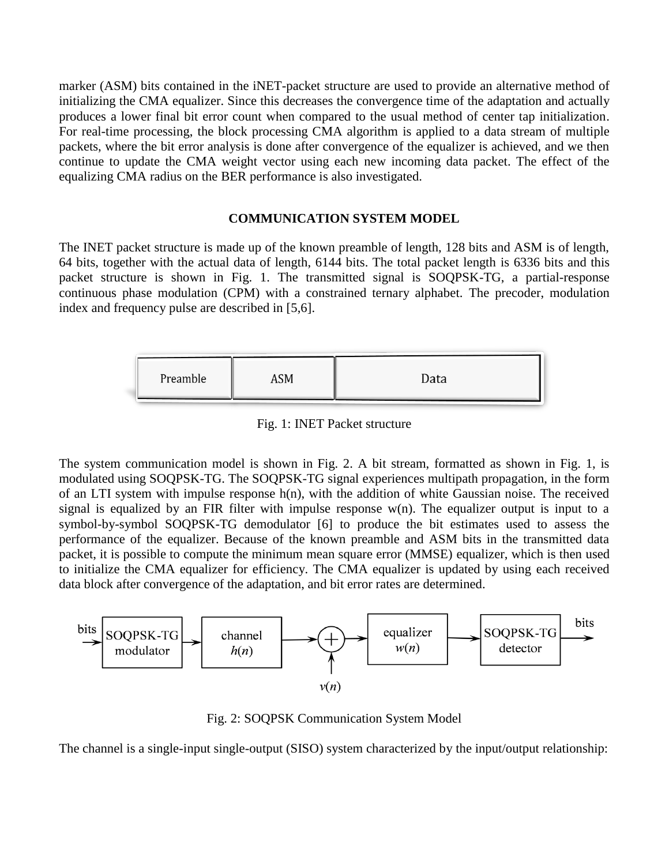marker (ASM) bits contained in the iNET-packet structure are used to provide an alternative method of initializing the CMA equalizer. Since this decreases the convergence time of the adaptation and actually produces a lower final bit error count when compared to the usual method of center tap initialization. For real-time processing, the block processing CMA algorithm is applied to a data stream of multiple packets, where the bit error analysis is done after convergence of the equalizer is achieved, and we then continue to update the CMA weight vector using each new incoming data packet. The effect of the equalizing CMA radius on the BER performance is also investigated.

## **COMMUNICATION SYSTEM MODEL**

The INET packet structure is made up of the known preamble of length, 128 bits and ASM is of length, 64 bits, together with the actual data of length, 6144 bits. The total packet length is 6336 bits and this packet structure is shown in Fig. 1. The transmitted signal is SOQPSK-TG, a partial-response continuous phase modulation (CPM) with a constrained ternary alphabet. The precoder, modulation index and frequency pulse are described in [5,6].

Fig. 1: INET Packet structure

The system communication model is shown in Fig. 2. A bit stream, formatted as shown in Fig. 1, is modulated using SOQPSK-TG. The SOQPSK-TG signal experiences multipath propagation, in the form of an LTI system with impulse response h(n), with the addition of white Gaussian noise. The received signal is equalized by an FIR filter with impulse response  $w(n)$ . The equalizer output is input to a symbol-by-symbol SOQPSK-TG demodulator [6] to produce the bit estimates used to assess the performance of the equalizer. Because of the known preamble and ASM bits in the transmitted data packet, it is possible to compute the minimum mean square error (MMSE) equalizer, which is then used to initialize the CMA equalizer for efficiency. The CMA equalizer is updated by using each received data block after convergence of the adaptation, and bit error rates are determined.



Fig. 2: SOQPSK Communication System Model

The channel is a single-input single-output (SISO) system characterized by the input/output relationship: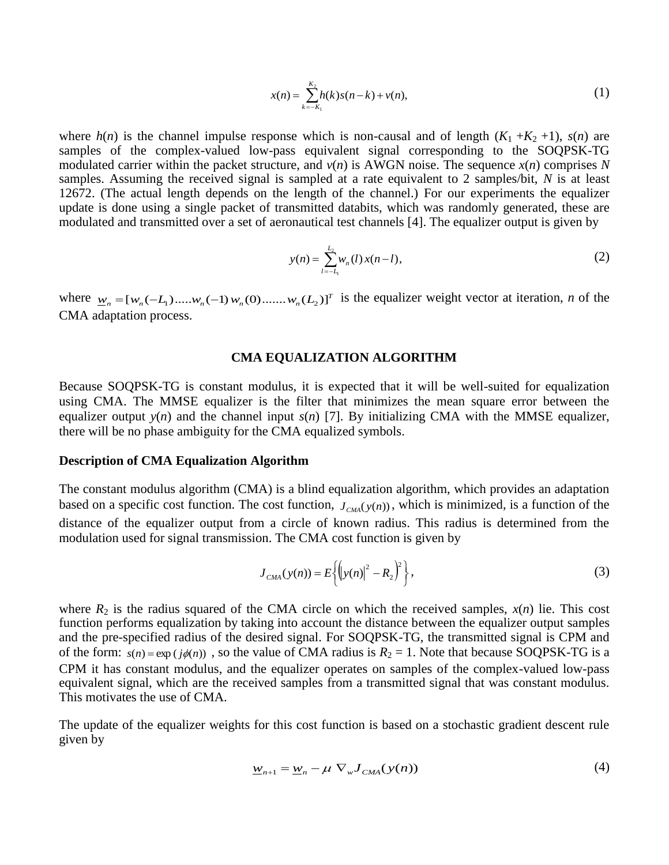$$
x(n) = \sum_{k=-K_1}^{K_2} h(k)s(n-k) + v(n),
$$
\n(1)

where  $h(n)$  is the channel impulse response which is non-causal and of length  $(K_1 + K_2 + 1)$ ,  $s(n)$  are samples of the complex-valued low-pass equivalent signal corresponding to the SOQPSK-TG modulated carrier within the packet structure, and  $v(n)$  is AWGN noise. The sequence  $x(n)$  comprises N samples. Assuming the received signal is sampled at a rate equivalent to 2 samples/bit, *N* is at least 12672. (The actual length depends on the length of the channel.) For our experiments the equalizer update is done using a single packet of transmitted databits, which was randomly generated, these are modulated and transmitted over a set of aeronautical test channels [4]. The equalizer output is given by

$$
y(n) = \sum_{l=-L_1}^{L_2} w_n(l) x(n-l),
$$
 (2)

where  $w_n = [w_n(-L_1) \dots w_n(-1) w_n(0) \dots w_n(L_2)]^T$  is the equalizer weight vector at iteration, *n* of the CMA adaptation process.

#### **CMA EQUALIZATION ALGORITHM**

Because SOQPSK-TG is constant modulus, it is expected that it will be well-suited for equalization using CMA. The MMSE equalizer is the filter that minimizes the mean square error between the equalizer output  $y(n)$  and the channel input  $s(n)$  [7]. By initializing CMA with the MMSE equalizer, there will be no phase ambiguity for the CMA equalized symbols.

#### **Description of CMA Equalization Algorithm**

The constant modulus algorithm (CMA) is a blind equalization algorithm, which provides an adaptation based on a specific cost function. The cost function,  $J_{CMA}(y(n))$ , which is minimized, is a function of the distance of the equalizer output from a circle of known radius. This radius is determined from the modulation used for signal transmission. The CMA cost function is given by

$$
J_{CMA}(y(n)) = E\left\{ \left( |y(n)|^2 - R_2 \right)^2 \right\},\tag{3}
$$

where  $R_2$  is the radius squared of the CMA circle on which the received samples,  $x(n)$  lie. This cost function performs equalization by taking into account the distance between the equalizer output samples and the pre-specified radius of the desired signal. For SOQPSK-TG, the transmitted signal is CPM and of the form:  $s(n) = \exp(j\phi(n))$ , so the value of CMA radius is  $R_2 = 1$ . Note that because SOQPSK-TG is a CPM it has constant modulus, and the equalizer operates on samples of the complex-valued low-pass equivalent signal, which are the received samples from a transmitted signal that was constant modulus. This motivates the use of CMA.

The update of the equalizer weights for this cost function is based on a stochastic gradient descent rule given by

$$
\underline{w}_{n+1} = \underline{w}_n - \mu \nabla_w J_{CMA}(y(n)) \tag{4}
$$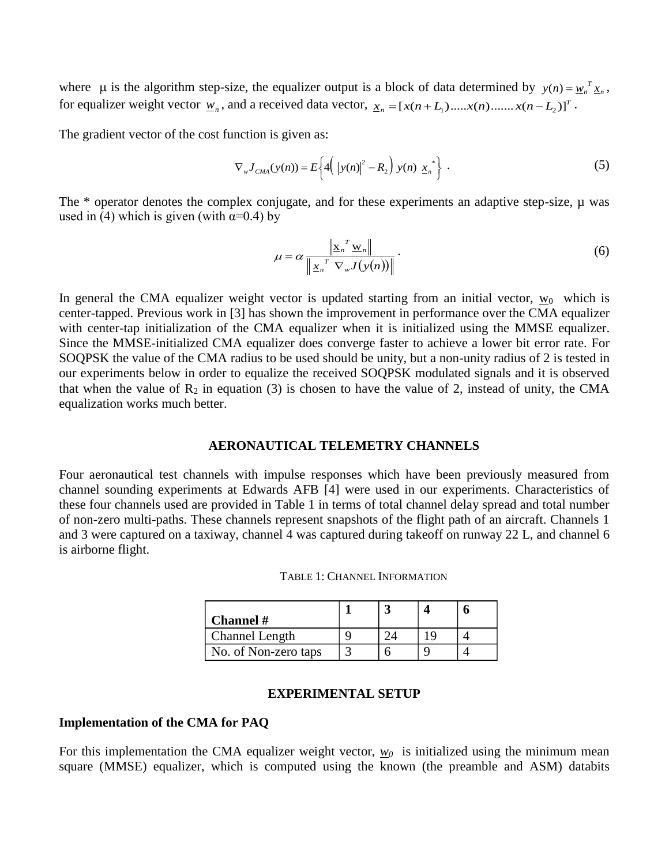where  $\mu$  is the algorithm step-size, the equalizer output is a block of data determined by  $y(n) = w_n^T x_n$ , for equalizer weight vector  $\underline{w}_n$ , and a received data vector,  $\underline{x}_n = [x(n+L_1) \dots x(n) \dots x(n-L_2)]^T$ .

The gradient vector of the cost function is given as:

$$
\nabla_{w} J_{CMA}(y(n)) = E\bigg\{4\bigg(\big|y(n)\big|^{2} - R_{2}\bigg)\ y(n) \underline{x}_{n}^{*}\bigg\} \ . \tag{5}
$$

The  $*$  operator denotes the complex conjugate, and for these experiments an adaptive step-size,  $\mu$  was used in (4) which is given (with  $\alpha=0.4$ ) by

$$
\mu = \alpha \frac{\left\| \underline{\mathbf{x}}_n^T \underline{\mathbf{w}}_n \right\|}{\left\| \underline{\mathbf{x}}_n^T \nabla_{\mathbf{w}} J(\mathbf{y}(n)) \right\|} . \tag{6}
$$

In general the CMA equalizer weight vector is updated starting from an initial vector,  $w_0$  which is center-tapped. Previous work in [3] has shown the improvement in performance over the CMA equalizer with center-tap initialization of the CMA equalizer when it is initialized using the MMSE equalizer. Since the MMSE-initialized CMA equalizer does converge faster to achieve a lower bit error rate. For SOQPSK the value of the CMA radius to be used should be unity, but a non-unity radius of 2 is tested in our experiments below in order to equalize the received SOQPSK modulated signals and it is observed that when the value of  $R_2$  in equation (3) is chosen to have the value of 2, instead of unity, the CMA equalization works much better.

# **AERONAUTICAL TELEMETRY CHANNELS**

Four aeronautical test channels with impulse responses which have been previously measured from channel sounding experiments at Edwards AFB [4] were used in our experiments. Characteristics of these four channels used are provided in Table 1 in terms of total channel delay spread and total number of non-zero multi-paths. These channels represent snapshots of the flight path of an aircraft. Channels 1 and 3 were captured on a taxiway, channel 4 was captured during takeoff on runway 22 L, and channel 6 is airborne flight.

| Channel #            |  |  |
|----------------------|--|--|
| Channel Length       |  |  |
| No. of Non-zero taps |  |  |

## **EXPERIMENTAL SETUP**

## **Implementation of the CMA for PAQ**

For this implementation the CMA equalizer weight vector,  $w_0$  is initialized using the minimum mean square (MMSE) equalizer, which is computed using the known (the preamble and ASM) databits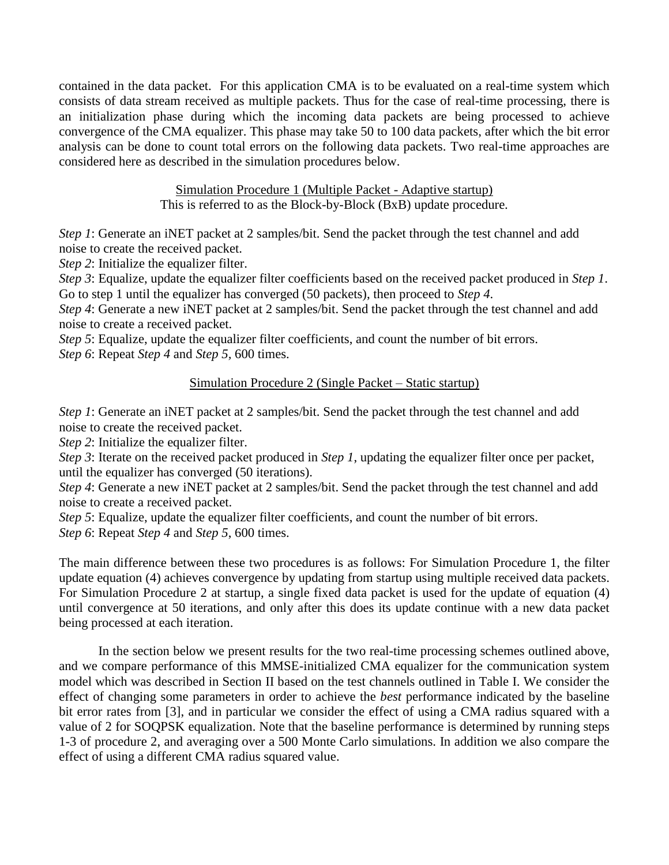contained in the data packet. For this application CMA is to be evaluated on a real-time system which consists of data stream received as multiple packets. Thus for the case of real-time processing, there is an initialization phase during which the incoming data packets are being processed to achieve convergence of the CMA equalizer. This phase may take 50 to 100 data packets, after which the bit error analysis can be done to count total errors on the following data packets. Two real-time approaches are considered here as described in the simulation procedures below.

> Simulation Procedure 1 (Multiple Packet - Adaptive startup) This is referred to as the Block-by-Block (BxB) update procedure.

*Step 1*: Generate an iNET packet at 2 samples/bit. Send the packet through the test channel and add noise to create the received packet.

*Step 2*: Initialize the equalizer filter.

*Step 3*: Equalize, update the equalizer filter coefficients based on the received packet produced in *Step 1*. Go to step 1 until the equalizer has converged (50 packets), then proceed to *Step 4*.

*Step 4*: Generate a new iNET packet at 2 samples/bit. Send the packet through the test channel and add noise to create a received packet.

*Step 5*: Equalize, update the equalizer filter coefficients, and count the number of bit errors. *Step 6*: Repeat *Step 4* and *Step 5,* 600 times.

# Simulation Procedure 2 (Single Packet – Static startup)

*Step 1*: Generate an iNET packet at 2 samples/bit. Send the packet through the test channel and add noise to create the received packet.

*Step 2*: Initialize the equalizer filter.

*Step 3*: Iterate on the received packet produced in *Step 1*, updating the equalizer filter once per packet, until the equalizer has converged (50 iterations).

*Step 4*: Generate a new iNET packet at 2 samples/bit. Send the packet through the test channel and add noise to create a received packet.

*Step 5*: Equalize, update the equalizer filter coefficients, and count the number of bit errors.

*Step 6*: Repeat *Step 4* and *Step 5*, 600 times.

The main difference between these two procedures is as follows: For Simulation Procedure 1, the filter update equation (4) achieves convergence by updating from startup using multiple received data packets. For Simulation Procedure 2 at startup, a single fixed data packet is used for the update of equation (4) until convergence at 50 iterations, and only after this does its update continue with a new data packet being processed at each iteration.

In the section below we present results for the two real-time processing schemes outlined above, and we compare performance of this MMSE-initialized CMA equalizer for the communication system model which was described in Section II based on the test channels outlined in Table I. We consider the effect of changing some parameters in order to achieve the *best* performance indicated by the baseline bit error rates from [3], and in particular we consider the effect of using a CMA radius squared with a value of 2 for SOQPSK equalization. Note that the baseline performance is determined by running steps 1-3 of procedure 2, and averaging over a 500 Monte Carlo simulations. In addition we also compare the effect of using a different CMA radius squared value.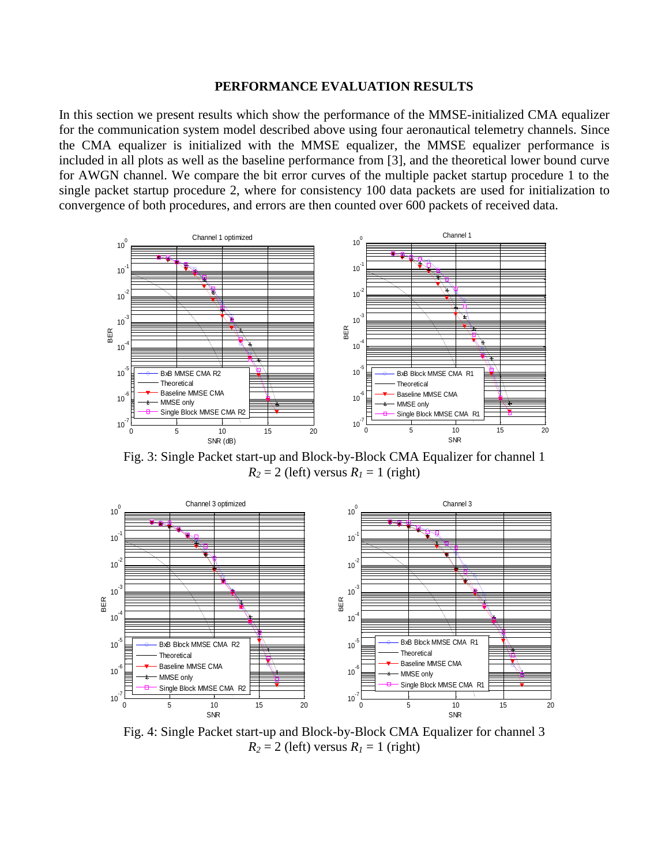#### **PERFORMANCE EVALUATION RESULTS**

In this section we present results which show the performance of the MMSE-initialized CMA equalizer for the communication system model described above using four aeronautical telemetry channels. Since the CMA equalizer is initialized with the MMSE equalizer, the MMSE equalizer performance is included in all plots as well as the baseline performance from [3], and the theoretical lower bound curve for AWGN channel. We compare the bit error curves of the multiple packet startup procedure 1 to the single packet startup procedure 2, where for consistency 100 data packets are used for initialization to convergence of both procedures, and errors are then counted over 600 packets of received data.



Fig. 3: Single Packet start-up and Block-by-Block CMA Equalizer for channel 1  $R_2 = 2$  (left) versus  $R_1 = 1$  (right)



Fig. 4: Single Packet start-up and Block-by-Block CMA Equalizer for channel 3  $R_2 = 2$  (left) versus  $R_1 = 1$  (right)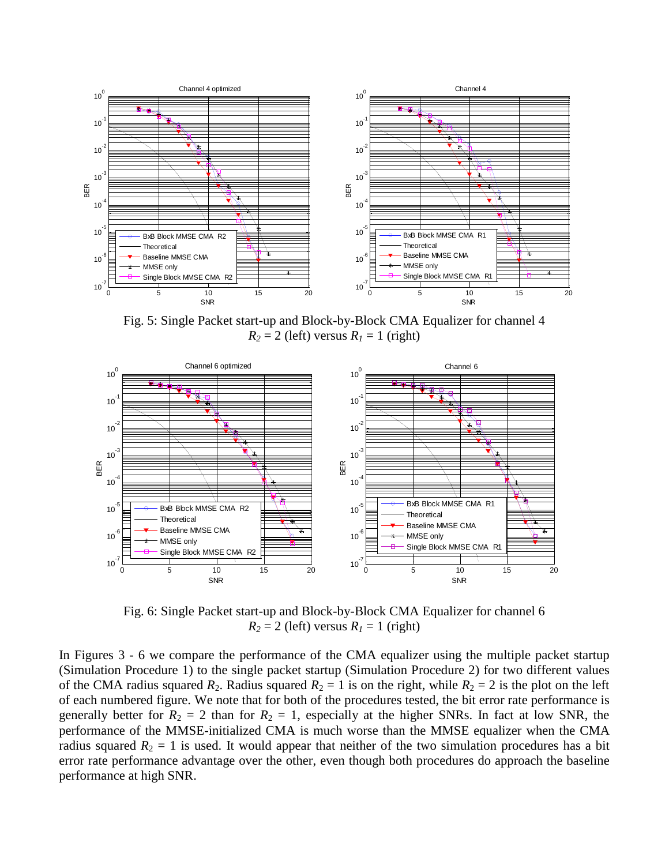

Fig. 5: Single Packet start-up and Block-by-Block CMA Equalizer for channel 4  $R_2 = 2$  (left) versus  $R_1 = 1$  (right)



Fig. 6: Single Packet start-up and Block-by-Block CMA Equalizer for channel 6  $R_2 = 2$  (left) versus  $R_1 = 1$  (right)

In Figures 3 - 6 we compare the performance of the CMA equalizer using the multiple packet startup (Simulation Procedure 1) to the single packet startup (Simulation Procedure 2) for two different values of the CMA radius squared  $R_2$ . Radius squared  $R_2 = 1$  is on the right, while  $R_2 = 2$  is the plot on the left of each numbered figure. We note that for both of the procedures tested, the bit error rate performance is generally better for  $R_2 = 2$  than for  $R_2 = 1$ , especially at the higher SNRs. In fact at low SNR, the performance of the MMSE-initialized CMA is much worse than the MMSE equalizer when the CMA radius squared  $R_2 = 1$  is used. It would appear that neither of the two simulation procedures has a bit error rate performance advantage over the other, even though both procedures do approach the baseline performance at high SNR.